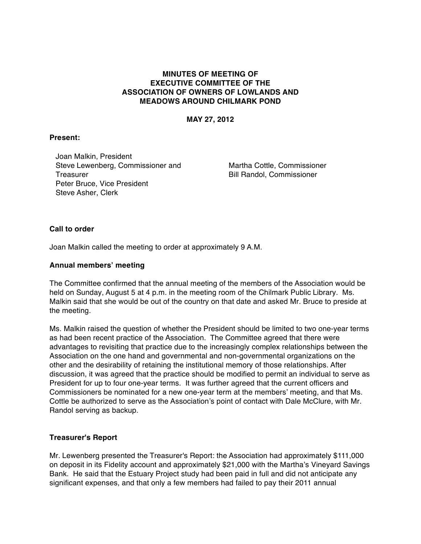# **MINUTES OF MEETING OF EXECUTIVE COMMITTEE OF THE ASSOCIATION OF OWNERS OF LOWLANDS AND MEADOWS AROUND CHILMARK POND**

**MAY 27, 2012**

## **Present:**

Joan Malkin, President Steve Lewenberg, Commissioner and **Treasurer** Peter Bruce, Vice President Steve Asher, Clerk

Martha Cottle, Commissioner Bill Randol, Commissioner

#### **Call to order**

Joan Malkin called the meeting to order at approximately 9 A.M.

### **Annual members' meeting**

The Committee confirmed that the annual meeting of the members of the Association would be held on Sunday, August 5 at 4 p.m. in the meeting room of the Chilmark Public Library. Ms. Malkin said that she would be out of the country on that date and asked Mr. Bruce to preside at the meeting.

Ms. Malkin raised the question of whether the President should be limited to two one-year terms as had been recent practice of the Association. The Committee agreed that there were advantages to revisiting that practice due to the increasingly complex relationships between the Association on the one hand and governmental and non-governmental organizations on the other and the desirability of retaining the institutional memory of those relationships. After discussion, it was agreed that the practice should be modified to permit an individual to serve as President for up to four one-year terms. It was further agreed that the current officers and Commissioners be nominated for a new one-year term at the members' meeting, and that Ms. Cottle be authorized to serve as the Association's point of contact with Dale McClure, with Mr. Randol serving as backup.

#### **Treasurer's Report**

Mr. Lewenberg presented the Treasurer's Report: the Association had approximately \$111,000 on deposit in its Fidelity account and approximately \$21,000 with the Martha's Vineyard Savings Bank. He said that the Estuary Project study had been paid in full and did not anticipate any significant expenses, and that only a few members had failed to pay their 2011 annual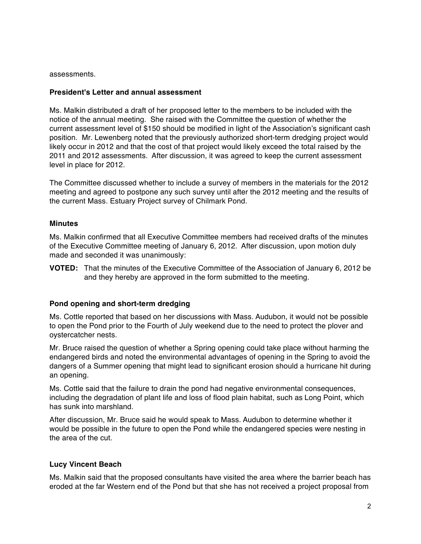assessments.

### **President's Letter and annual assessment**

Ms. Malkin distributed a draft of her proposed letter to the members to be included with the notice of the annual meeting. She raised with the Committee the question of whether the current assessment level of \$150 should be modified in light of the Association's significant cash position. Mr. Lewenberg noted that the previously authorized short-term dredging project would likely occur in 2012 and that the cost of that project would likely exceed the total raised by the 2011 and 2012 assessments. After discussion, it was agreed to keep the current assessment level in place for 2012.

The Committee discussed whether to include a survey of members in the materials for the 2012 meeting and agreed to postpone any such survey until after the 2012 meeting and the results of the current Mass. Estuary Project survey of Chilmark Pond.

## **Minutes**

Ms. Malkin confirmed that all Executive Committee members had received drafts of the minutes of the Executive Committee meeting of January 6, 2012. After discussion, upon motion duly made and seconded it was unanimously:

**VOTED:** That the minutes of the Executive Committee of the Association of January 6, 2012 be and they hereby are approved in the form submitted to the meeting.

# **Pond opening and short-term dredging**

Ms. Cottle reported that based on her discussions with Mass. Audubon, it would not be possible to open the Pond prior to the Fourth of July weekend due to the need to protect the plover and oystercatcher nests.

Mr. Bruce raised the question of whether a Spring opening could take place without harming the endangered birds and noted the environmental advantages of opening in the Spring to avoid the dangers of a Summer opening that might lead to significant erosion should a hurricane hit during an opening.

Ms. Cottle said that the failure to drain the pond had negative environmental consequences, including the degradation of plant life and loss of flood plain habitat, such as Long Point, which has sunk into marshland.

After discussion, Mr. Bruce said he would speak to Mass. Audubon to determine whether it would be possible in the future to open the Pond while the endangered species were nesting in the area of the cut.

# **Lucy Vincent Beach**

Ms. Malkin said that the proposed consultants have visited the area where the barrier beach has eroded at the far Western end of the Pond but that she has not received a project proposal from